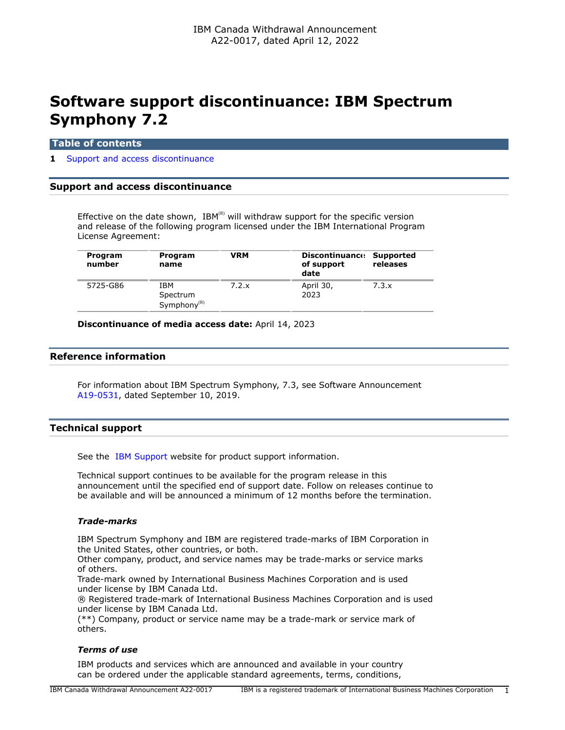# **Software support discontinuance: IBM Spectrum Symphony 7.2**

#### **Table of contents**

#### **1** [Support and access discontinuance](#page-0-0)

## <span id="page-0-0"></span>**Support and access discontinuance**

Effective on the date shown,  $IBM^{(R)}$  will withdraw support for the specific version and release of the following program licensed under the IBM International Program License Agreement:

| Program<br>number | Program<br>name                            | VRM   | Discontinuance: Supported<br>of support<br>date | releases |
|-------------------|--------------------------------------------|-------|-------------------------------------------------|----------|
| 5725-G86          | IBM<br>Spectrum<br>Symphony <sup>(R)</sup> | 7.2.x | April 30,<br>2023                               | 7.3.x    |

**Discontinuance of media access date:** April 14, 2023

## **Reference information**

For information about IBM Spectrum Symphony, 7.3, see Software Announcement [A19-0531,](http://www.ibm.com/common/ssi/cgi-bin/ssialias?infotype=an&subtype=ca&appname=gpateam&supplier=649&letternum=ENUSA19-0531) dated September 10, 2019.

# **Technical support**

See the [IBM Support](https://www.ibm.com/support) website for product support information.

Technical support continues to be available for the program release in this announcement until the specified end of support date. Follow on releases continue to be available and will be announced a minimum of 12 months before the termination.

#### *Trade-marks*

IBM Spectrum Symphony and IBM are registered trade-marks of IBM Corporation in the United States, other countries, or both.

Other company, product, and service names may be trade-marks or service marks of others.

Trade-mark owned by International Business Machines Corporation and is used under license by IBM Canada Ltd.

® Registered trade-mark of International Business Machines Corporation and is used under license by IBM Canada Ltd.

(\*\*) Company, product or service name may be a trade-mark or service mark of others.

## *Terms of use*

IBM products and services which are announced and available in your country can be ordered under the applicable standard agreements, terms, conditions,